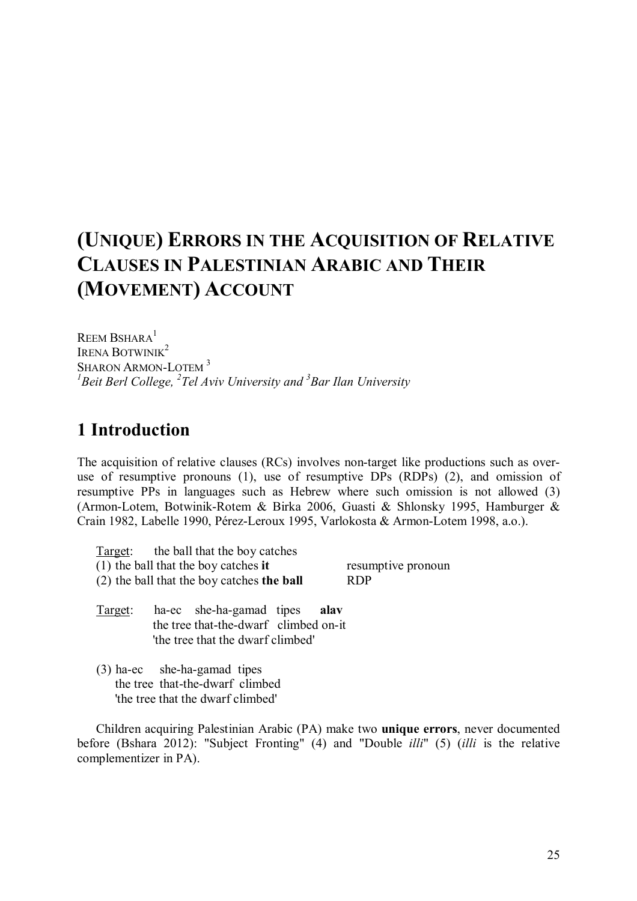# **(UNIQUE) ERRORS IN THE ACQUISITION OF RELATIVE CLAUSES IN PALESTINIAN ARABIC AND THEIR (MOVEMENT) ACCOUNT**

REEM BSHARA $<sup>1</sup>$ </sup> IRENA BOTWINIK<sup>2</sup> SHARON ARMON-LOTEM<sup>3</sup> *1 Beit Berl College, <sup>2</sup> Tel Aviv University and <sup>3</sup> Bar Ilan University*

# **1 Introduction**

The acquisition of relative clauses (RCs) involves non-target like productions such as overuse of resumptive pronouns (1), use of resumptive DPs (RDPs) (2), and omission of resumptive PPs in languages such as Hebrew where such omission is not allowed (3) (Armon-Lotem, Botwinik-Rotem & Birka 2006, Guasti & Shlonsky 1995, Hamburger & Crain 1982, Labelle 1990, Pérez-Leroux 1995, Varlokosta & Armon-Lotem 1998, a.o.).

- Target: the ball that the boy catches (1) the ball that the boy catches **it** resumptive pronoun (2) the ball that the boy catches **the ball** RDP Target: ha-ec she-ha-gamad tipes **alav** the tree that-the-dwarf climbed on-it 'the tree that the dwarf climbed'
- (3) ha-ec she-ha-gamad tipes the tree that-the-dwarf climbed 'the tree that the dwarf climbed'

Children acquiring Palestinian Arabic (PA) make two **unique errors**, never documented before (Bshara 2012): "Subject Fronting" (4) and "Double *illi*" (5) (*illi* is the relative complementizer in PA).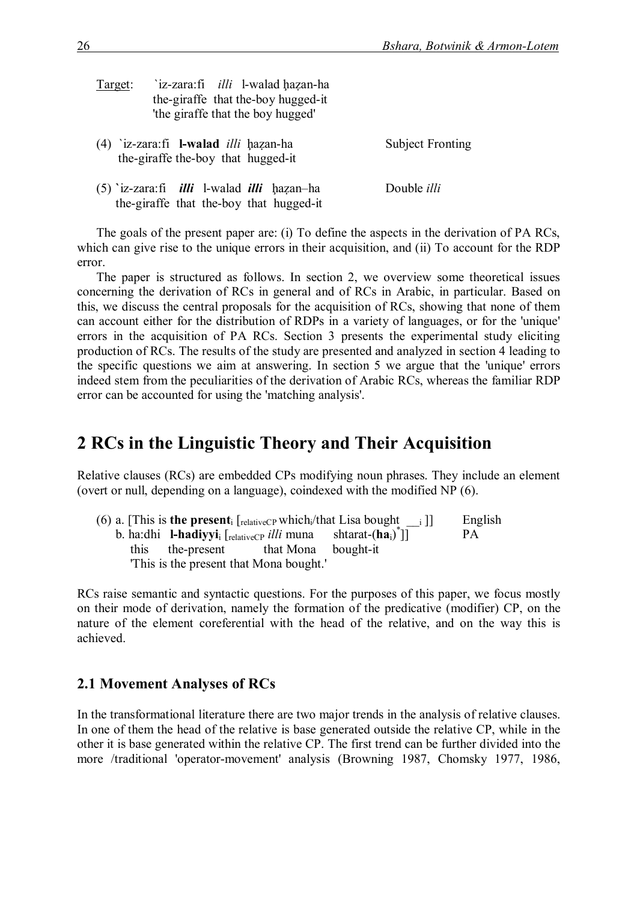| Target: | 'iz-zara:fi <i>illi</i> l-walad hazan-ha<br>the-giraffe that the-boy hugged-it<br>'the giraffe that the boy hugged' |                         |
|---------|---------------------------------------------------------------------------------------------------------------------|-------------------------|
|         | (4) 'iz-zara:fi <b>l-walad</b> <i>illi</i> hazan-ha<br>the-giraffe the-boy that hugged-it                           | <b>Subject Fronting</b> |
|         | (5) 'iz-zara:fi <i>illi</i> l-walad <i>illi</i> hazan-ha<br>the-giraffe that the-boy that hugged-it                 | Double <i>illi</i>      |

The goals of the present paper are: (i) To define the aspects in the derivation of PA RCs, which can give rise to the unique errors in their acquisition, and (ii) To account for the RDP error.

The paper is structured as follows. In section 2, we overview some theoretical issues concerning the derivation of RCs in general and of RCs in Arabic, in particular. Based on this, we discuss the central proposals for the acquisition of RCs, showing that none of them can account either for the distribution of RDPs in a variety of languages, or for the 'unique' errors in the acquisition of PA RCs. Section 3 presents the experimental study eliciting production of RCs. The results of the study are presented and analyzed in section 4 leading to the specific questions we aim at answering. In section 5 we argue that the 'unique' errors indeed stem from the peculiarities of the derivation of Arabic RCs, whereas the familiar RDP error can be accounted for using the 'matching analysis'.

## **2 RCs in the Linguistic Theory and Their Acquisition**

Relative clauses (RCs) are embedded CPs modifying noun phrases. They include an element (overt or null, depending on a language), coindexed with the modified NP (6).

|  |                                                                                       | (6) a. [This is <b>the present</b> <sub>i</sub> [ <sub>relativeCP</sub> which <sub>i</sub> /that Lisa bought i]] | English |
|--|---------------------------------------------------------------------------------------|------------------------------------------------------------------------------------------------------------------|---------|
|  | b. ha:dhi <b>l-hadiyyi</b> <sub>i</sub> $\lceil_{\text{relativeCP}}$ <i>illi</i> muna | shtarat- $(ha_i)$ ]                                                                                              | PA.     |
|  | this the-present that Mona bought-it                                                  |                                                                                                                  |         |
|  | This is the present that Mona bought.                                                 |                                                                                                                  |         |

RCs raise semantic and syntactic questions. For the purposes of this paper, we focus mostly on their mode of derivation, namely the formation of the predicative (modifier) CP, on the nature of the element coreferential with the head of the relative, and on the way this is achieved.

### **2.1 Movement Analyses of RCs**

In the transformational literature there are two major trends in the analysis of relative clauses. In one of them the head of the relative is base generated outside the relative CP, while in the other it is base generated within the relative CP. The first trend can be further divided into the more /traditional 'operator-movement' analysis (Browning 1987, Chomsky 1977, 1986,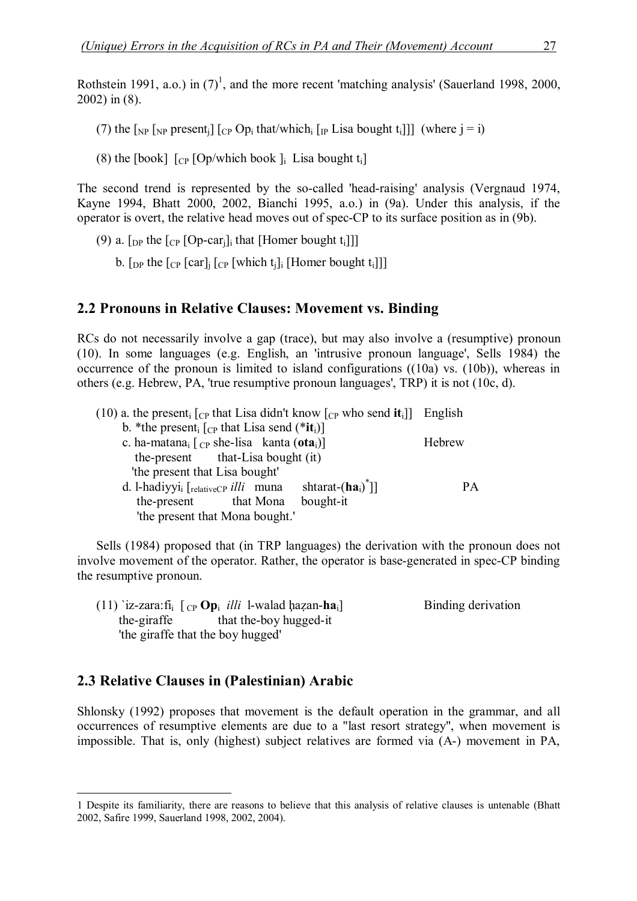Rothstein 1991, a.o.) in  $(7)^1$ , and the more recent 'matching analysis' (Sauerland 1998, 2000, 2002) in (8).

(7) the  $\lceil_{NP} \rceil_{NP}$  present<sub>i</sub> $\lceil_{CP} Op_i$  that/which<sub>i</sub>  $\lceil_{IP}$  Lisa bought t<sub>i</sub>]] (where  $j = i$ )

(8) the [book]  $[CP]$  [Op/which book ]; Lisa bought t<sub>i</sub>]

The second trend is represented by the so-called 'head-raising' analysis (Vergnaud 1974, Kayne 1994, Bhatt 2000, 2002, Bianchi 1995, a.o.) in (9a). Under this analysis, if the operator is overt, the relative head moves out of spec-CP to its surface position as in (9b).

- (9) a.  $\lceil \frac{D}{D} \rceil$  the  $\lceil \frac{C}{D} \rceil$  (Op-car<sub>il</sub>) that [Homer bought t<sub>i</sub>]]]
	- b. [DP the  $[CP [car]$ ]  $[CP [which t_j]$  [Homer bought t<sub>i</sub>]]]

#### **2.2 Pronouns in Relative Clauses: Movement vs. Binding**

RCs do not necessarily involve a gap (trace), but may also involve a (resumptive) pronoun (10). In some languages (e.g. English, an 'intrusive pronoun language', Sells 1984) the occurrence of the pronoun is limited to island configurations ((10a) vs. (10b)), whereas in others (e.g. Hebrew, PA, 'true resumptive pronoun languages', TRP) it is not (10c, d).

| (10) a. the present <sub>i</sub> $[CP$ that Lisa didn't know $[CP$ who send <b>it</b> <sub>i</sub> ]] English |           |
|---------------------------------------------------------------------------------------------------------------|-----------|
| b. *the present <sub>i</sub> $[CP$ that Lisa send (* <b>it</b> <sub>i</sub> )]                                |           |
| c. ha-matana <sub>i</sub> $[CP$ she-lisa kanta (ota <sub>i</sub> )]                                           | Hebrew    |
| the-present that-Lisa bought (it)                                                                             |           |
| 'the present that Lisa bought'                                                                                |           |
| shtarat- $(ha_i)^T$ ]<br>d. l-hadiyyi <sub>i</sub> [relativeCP illi muna                                      | <b>PA</b> |
| bought-it<br>the-present that Mona                                                                            |           |
| 'the present that Mona bought.'                                                                               |           |
|                                                                                                               |           |

Sells (1984) proposed that (in TRP languages) the derivation with the pronoun does not involve movement of the operator. Rather, the operator is base-generated in spec-CP binding the resumptive pronoun.

(11)  $\text{Z-zara:}$   $\text{fi}$   $\left[$   $\text{cp}\,\mathbf{Op}\right]$  *illi* 1-walad hazan-ha<sub>i</sub>] Binding derivation the-giraffe that the-boy hugged-it 'the giraffe that the boy hugged'

#### **2.3 Relative Clauses in (Palestinian) Arabic**

Shlonsky (1992) proposes that movement is the default operation in the grammar, and all occurrences of resumptive elements are due to a "last resort strategy", when movement is impossible. That is, only (highest) subject relatives are formed via (A-) movement in PA,

<sup>1</sup> Despite its familiarity, there are reasons to believe that this analysis of relative clauses is untenable (Bhatt 2002, Safire 1999, Sauerland 1998, 2002, 2004).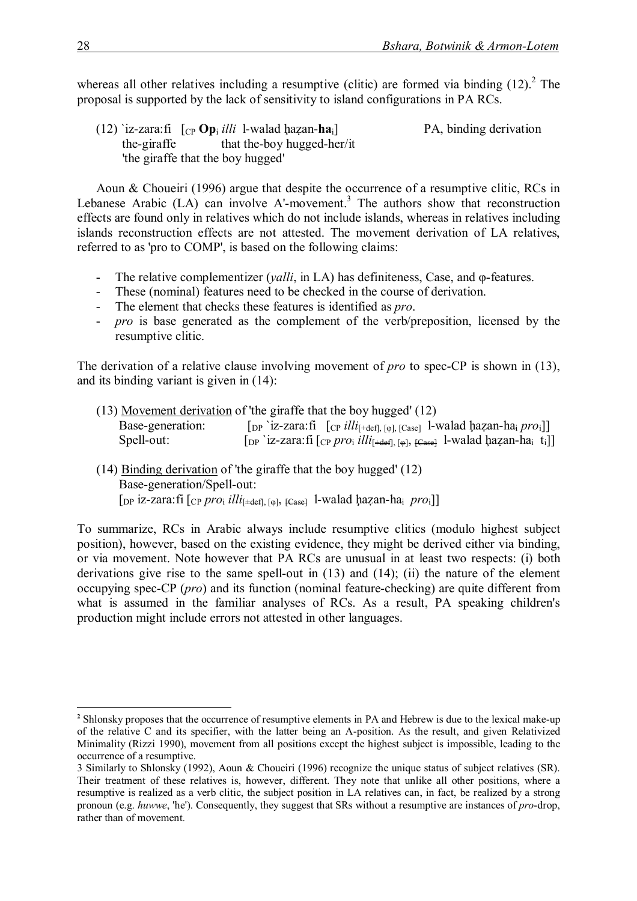whereas all other relatives including a resumptive (clitic) are formed via binding  $(12)$ .<sup>2</sup> The proposal is supported by the lack of sensitivity to island configurations in PA RCs.

(12)  $i$ z-zara:fi  $\int_{CP}$  **Op**<sub>i</sub> *illi* 1-walad ḥaẓan-**ha**<sub>i</sub>] PA, binding derivation the-giraffe that the-boy hugged-her/it 'the giraffe that the boy hugged'

Aoun & Choueiri (1996) argue that despite the occurrence of a resumptive clitic, RCs in Lebanese Arabic  $(LA)$  can involve A'-movement.<sup>3</sup> The authors show that reconstruction effects are found only in relatives which do not include islands, whereas in relatives including islands reconstruction effects are not attested. The movement derivation of LA relatives, referred to as 'pro to COMP', is based on the following claims:

- The relative complementizer (*yalli*, in LA) has definiteness, Case, and φ-features.
- These (nominal) features need to be checked in the course of derivation.
- The element that checks these features is identified as *pro*.
- *pro* is base generated as the complement of the verb/preposition, licensed by the resumptive clitic.

The derivation of a relative clause involving movement of *pro* to spec-CP is shown in (13), and its binding variant is given in (14):

|                  | (13) Movement derivation of 'the giraffe that the boy hugged' (12)                                                                                                            |
|------------------|-------------------------------------------------------------------------------------------------------------------------------------------------------------------------------|
| Base-generation: | $\lceil_{\text{DP}}$ iz-zara:fi $\lceil_{\text{CP}}$ illi <sub><math>\lceil_{\text{defl}, [\varphi], [\text{Case}]}</math> l-walad hazan-ha<sub>i</sub> pro<sub>i</sub></sub> |
| Spell-out:       | $[p^i]$ iz-zara:fi $[cp \text{ pro}_i \text{ illi}_{[+def], [0]}$ , $[Ca_{sdef}]$ 1-walad hazan-ha <sub>i</sub> t <sub>i</sub> ]]                                             |

(14) Binding derivation of 'the giraffe that the boy hugged' (12) Base-generation/Spell-out: [DP iz-zara:fi [CP *pro*<sup>i</sup> *illi*[+def], [φ], [Case] l-walad ḩaẓan-ha<sup>i</sup> *pro*i]]

To summarize, RCs in Arabic always include resumptive clitics (modulo highest subject position), however, based on the existing evidence, they might be derived either via binding, or via movement. Note however that PA RCs are unusual in at least two respects: (i) both derivations give rise to the same spell-out in (13) and (14); (ii) the nature of the element occupying spec-CP (*pro*) and its function (nominal feature-checking) are quite different from what is assumed in the familiar analyses of RCs. As a result, PA speaking children's production might include errors not attested in other languages.

**<sup>2</sup>** Shlonsky proposes that the occurrence of resumptive elements in PA and Hebrew is due to the lexical make-up of the relative C and its specifier, with the latter being an A-position. As the result, and given Relativized Minimality (Rizzi 1990), movement from all positions except the highest subject is impossible, leading to the occurrence of a resumptive.

<sup>3</sup> Similarly to Shlonsky (1992), Aoun & Choueiri (1996) recognize the unique status of subject relatives (SR). Their treatment of these relatives is, however, different. They note that unlike all other positions, where a resumptive is realized as a verb clitic, the subject position in LA relatives can, in fact, be realized by a strong pronoun (e.g. *huwwe*, 'he'). Consequently, they suggest that SRs without a resumptive are instances of *pro*-drop, rather than of movement.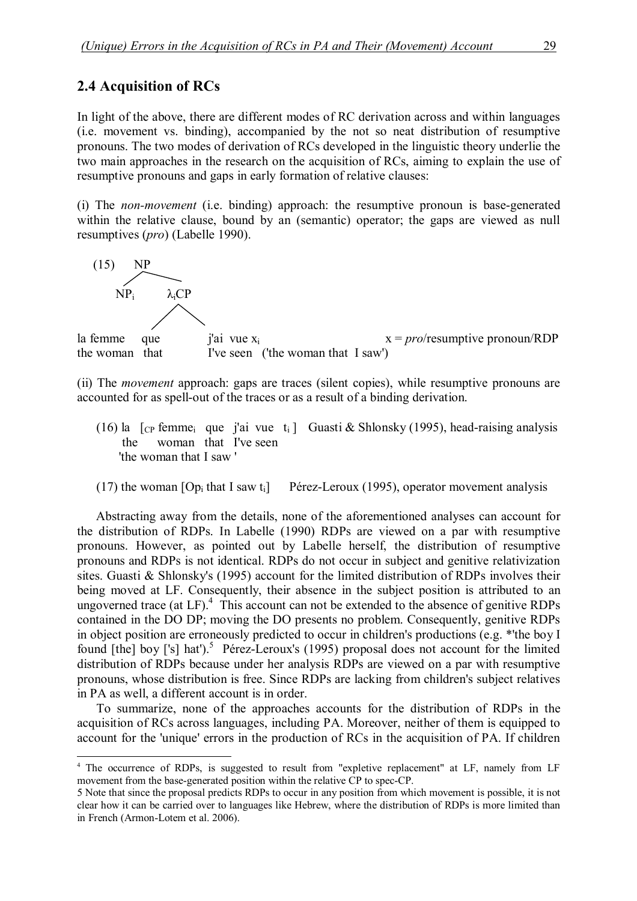#### **2.4 Acquisition of RCs**

In light of the above, there are different modes of RC derivation across and within languages (i.e. movement vs. binding), accompanied by the not so neat distribution of resumptive pronouns. The two modes of derivation of RCs developed in the linguistic theory underlie the two main approaches in the research on the acquisition of RCs, aiming to explain the use of resumptive pronouns and gaps in early formation of relative clauses:

(i) The *non-movement* (i.e. binding) approach: the resumptive pronoun is base-generated within the relative clause, bound by an (semantic) operator; the gaps are viewed as null resumptives (*pro*) (Labelle 1990).



(ii) The *movement* approach: gaps are traces (silent copies), while resumptive pronouns are accounted for as spell-out of the traces or as a result of a binding derivation.

- (16) la  $\lceil$ <sub>CP</sub> femme<sub>i</sub> que j'ai vue t<sub>i</sub> ] Guasti & Shlonsky (1995), head-raising analysis the woman that I've seen 'the woman that I saw '
- (17) the woman  $[Op_i$  that I saw t<sub>i</sub> Pérez-Leroux (1995), operator movement analysis

Abstracting away from the details, none of the aforementioned analyses can account for the distribution of RDPs. In Labelle (1990) RDPs are viewed on a par with resumptive pronouns. However, as pointed out by Labelle herself, the distribution of resumptive pronouns and RDPs is not identical. RDPs do not occur in subject and genitive relativization sites. Guasti & Shlonsky's (1995) account for the limited distribution of RDPs involves their being moved at LF. Consequently, their absence in the subject position is attributed to an ungoverned trace (at LF).<sup>4</sup> This account can not be extended to the absence of genitive RDPs contained in the DO DP; moving the DO presents no problem. Consequently, genitive RDPs in object position are erroneously predicted to occur in children's productions (e.g. \*'the boy I found [the] boy ['s] hat').<sup>5</sup> Pérez-Leroux's (1995) proposal does not account for the limited distribution of RDPs because under her analysis RDPs are viewed on a par with resumptive pronouns, whose distribution is free. Since RDPs are lacking from children's subject relatives in PA as well, a different account is in order.

To summarize, none of the approaches accounts for the distribution of RDPs in the acquisition of RCs across languages, including PA. Moreover, neither of them is equipped to account for the 'unique' errors in the production of RCs in the acquisition of PA. If children

<sup>4</sup> The occurrence of RDPs, is suggested to result from "expletive replacement" at LF, namely from LF movement from the base-generated position within the relative CP to spec-CP.

<sup>5</sup> Note that since the proposal predicts RDPs to occur in any position from which movement is possible, it is not clear how it can be carried over to languages like Hebrew, where the distribution of RDPs is more limited than in French (Armon-Lotem et al. 2006).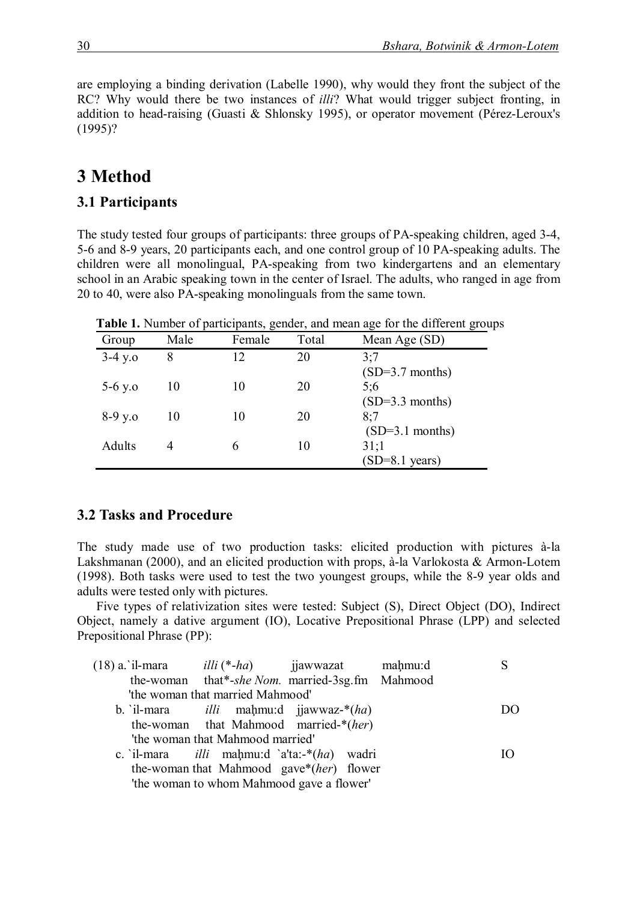are employing a binding derivation (Labelle 1990), why would they front the subject of the RC? Why would there be two instances of *illi*? What would trigger subject fronting, in addition to head-raising (Guasti & Shlonsky 1995), or operator movement (Pérez-Leroux's (1995)?

# **3 Method**

#### **3.1 Participants**

The study tested four groups of participants: three groups of PA-speaking children, aged 3-4, 5-6 and 8-9 years, 20 participants each, and one control group of 10 PA-speaking adults. The children were all monolingual, PA-speaking from two kindergartens and an elementary school in an Arabic speaking town in the center of Israel. The adults, who ranged in age from 20 to 40, were also PA-speaking monolinguals from the same town.

|           | . .  | ╯      |       | $\tilde{}$               |
|-----------|------|--------|-------|--------------------------|
| Group     | Male | Female | Total | Mean Age (SD)            |
| $3-4 y.o$ | 8    | 12     | 20    | 3:7                      |
|           |      |        |       | $(SD=3.7$ months)        |
| $5-6$ y.o | 10   | 10     | 20    | 5:6                      |
|           |      |        |       | $(SD=3.3$ months)        |
| $8-9y.0$  | 10   | 10     | 20    | 8:7                      |
|           |      |        |       | $(SD=3.1$ months)        |
| Adults    |      | 6      | 10    | 31:1                     |
|           |      |        |       | $(SD=8.1 \text{ years})$ |
|           |      |        |       |                          |

**Table 1.** Number of participants, gender, and mean age for the different groups

#### **3.2 Tasks and Procedure**

The study made use of two production tasks: elicited production with pictures à-la Lakshmanan (2000), and an elicited production with props, à-la Varlokosta & Armon-Lotem (1998). Both tasks were used to test the two youngest groups, while the 8-9 year olds and adults were tested only with pictures.

Five types of relativization sites were tested: Subject (S), Direct Object (DO), Indirect Object, namely a dative argument (IO), Locative Prepositional Phrase (LPP) and selected Prepositional Phrase (PP):

| $(18)$ a. il-mara $illi$ (*-ha) ijawwazat |                                  |                                                    | mahmu:d |      |
|-------------------------------------------|----------------------------------|----------------------------------------------------|---------|------|
|                                           |                                  | the-woman that*-she Nom. married-3sg.fm Mahmood    |         |      |
|                                           | 'the woman that married Mahmood' |                                                    |         |      |
|                                           |                                  | b. il-mara $illi$ mahmu:d jiawwaz- $*(ha)$         |         | 1)() |
|                                           |                                  | the-woman that Mahmood married-*(her)              |         |      |
|                                           | 'the woman that Mahmood married' |                                                    |         |      |
|                                           |                                  | c. il-mara <i>illi</i> mahmu:d $a'ta:-*(ha)$ wadri |         |      |
|                                           |                                  | the-woman that Mahmood gave*(her) flower           |         |      |
|                                           |                                  | 'the woman to whom Mahmood gave a flower'          |         |      |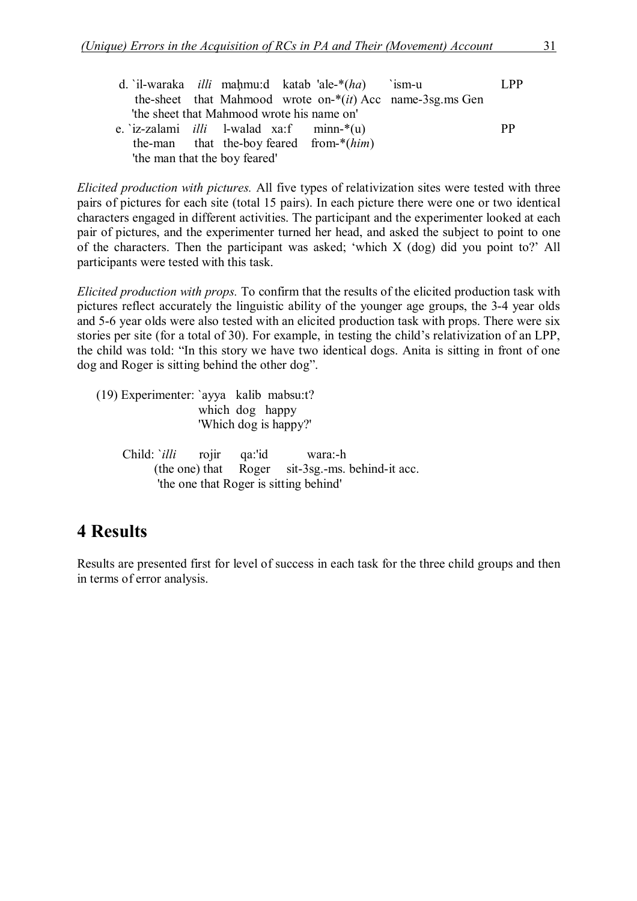|                               | d. il-waraka <i>illi</i> mahmu:d katab ale- $*(ha)$ ism-u |  |  |  |                                            |                                                              | L <sub>PP</sub> |
|-------------------------------|-----------------------------------------------------------|--|--|--|--------------------------------------------|--------------------------------------------------------------|-----------------|
|                               |                                                           |  |  |  |                                            | the-sheet that Mahmood wrote on- $*(it)$ Acc name-3sg ms Gen |                 |
|                               | 'the sheet that Mahmood wrote his name on'                |  |  |  |                                            |                                                              |                 |
|                               | e. $iz-zalami$ <i>illi</i> l-walad xa:f minn-*(u)         |  |  |  |                                            |                                                              | <b>PP</b>       |
|                               |                                                           |  |  |  | the-man that the-boy feared from- $*(him)$ |                                                              |                 |
| 'the man that the boy feared' |                                                           |  |  |  |                                            |                                                              |                 |

*Elicited production with pictures.* All five types of relativization sites were tested with three pairs of pictures for each site (total 15 pairs). In each picture there were one or two identical characters engaged in different activities. The participant and the experimenter looked at each pair of pictures, and the experimenter turned her head, and asked the subject to point to one of the characters. Then the participant was asked; 'which X (dog) did you point to?' All participants were tested with this task.

*Elicited production with props.* To confirm that the results of the elicited production task with pictures reflect accurately the linguistic ability of the younger age groups, the 3-4 year olds and 5-6 year olds were also tested with an elicited production task with props. There were six stories per site (for a total of 30). For example, in testing the child's relativization of an LPP, the child was told: "In this story we have two identical dogs. Anita is sitting in front of one dog and Roger is sitting behind the other dog".

(19) Experimenter: `ayya kalib mabsu:t? which dog happy 'Which dog is happy?'

Child: `*illi* rojir qa:'id wara:-h (the one) that Roger sit-3sg.-ms. behind-it acc. 'the one that Roger is sitting behind'

# **4 Results**

Results are presented first for level of success in each task for the three child groups and then in terms of error analysis.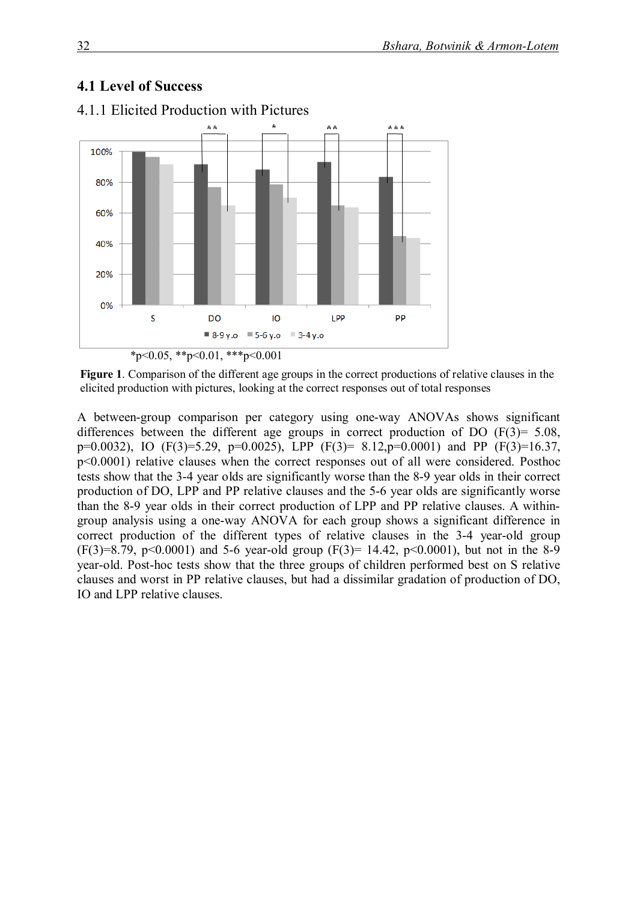### **4.1 Level of Success**



4.1.1 Elicited Production with Pictures

**Figure 1**. Comparison of the different age groups in the correct productions of relative clauses in the elicited production with pictures, looking at the correct responses out of total responses

A between-group comparison per category using one-way ANOVAs shows significant differences between the different age groups in correct production of DO (F(3)= 5.08, p=0.0032), IO (F(3)=5.29, p=0.0025), LPP (F(3)= 8.12,p=0.0001) and PP (F(3)=16.37, p<0.0001) relative clauses when the correct responses out of all were considered. Posthoc tests show that the 3-4 year olds are significantly worse than the 8-9 year olds in their correct production of DO, LPP and PP relative clauses and the 5-6 year olds are significantly worse than the 8-9 year olds in their correct production of LPP and PP relative clauses. A withingroup analysis using a one-way ANOVA for each group shows a significant difference in correct production of the different types of relative clauses in the 3-4 year-old group  $(F(3)=8.79, p<0.0001)$  and 5-6 year-old group  $(F(3)= 14.42, p<0.0001)$ , but not in the 8-9 year-old. Post-hoc tests show that the three groups of children performed best on S relative clauses and worst in PP relative clauses, but had a dissimilar gradation of production of DO, IO and LPP relative clauses.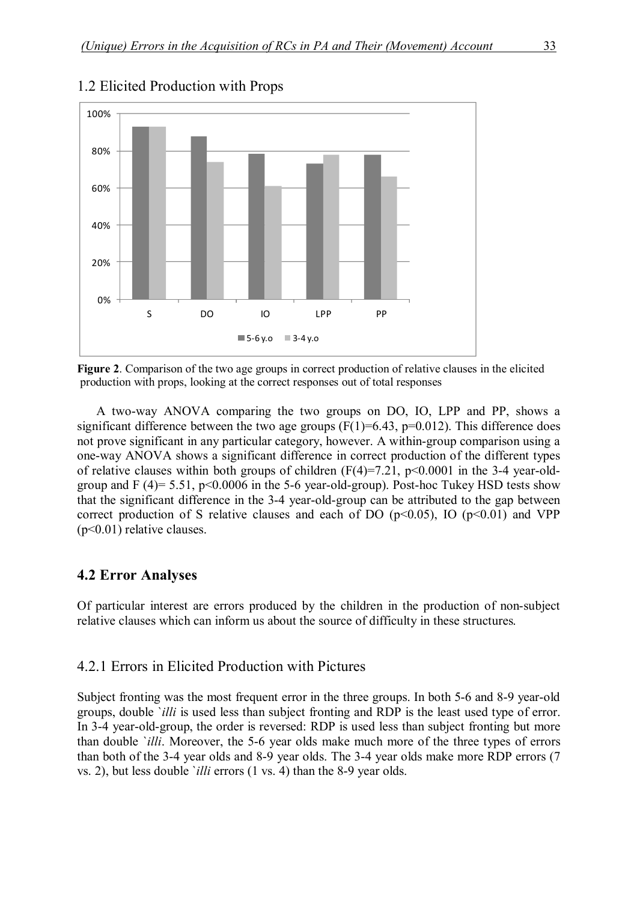

#### 1.2 Elicited Production with Props

**Figure 2**. Comparison of the two age groups in correct production of relative clauses in the elicited production with props, looking at the correct responses out of total responses

A two-way ANOVA comparing the two groups on DO, IO, LPP and PP, shows a significant difference between the two age groups  $(F(1)=6.43, p=0.012)$ . This difference does not prove significant in any particular category, however. A within-group comparison using a one-way ANOVA shows a significant difference in correct production of the different types of relative clauses within both groups of children  $(F(4)=7.21, p<0.0001$  in the 3-4 year-oldgroup and  $F(4)= 5.51$ ,  $p<0.0006$  in the 5-6 year-old-group). Post-hoc Tukey HSD tests show that the significant difference in the 3-4 year-old-group can be attributed to the gap between correct production of S relative clauses and each of DO  $(p<0.05)$ , IO  $(p<0.01)$  and VPP (p<0.01) relative clauses.

#### **4.2 Error Analyses**

Of particular interest are errors produced by the children in the production of non-subject relative clauses which can inform us about the source of difficulty in these structures.

#### 4.2.1 Errors in Elicited Production with Pictures

Subject fronting was the most frequent error in the three groups. In both 5-6 and 8-9 year-old groups, double `*illi* is used less than subject fronting and RDP is the least used type of error. In 3-4 year-old-group, the order is reversed: RDP is used less than subject fronting but more than double `*illi*. Moreover, the 5-6 year olds make much more of the three types of errors than both of the 3-4 year olds and 8-9 year olds. The 3-4 year olds make more RDP errors (7 vs. 2), but less double `*illi* errors (1 vs. 4) than the 8-9 year olds.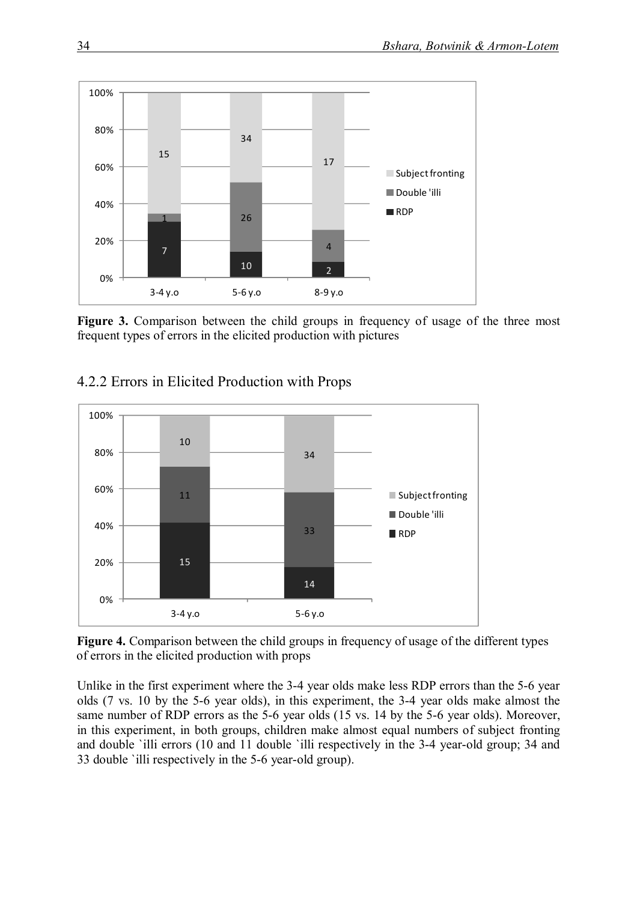

Figure 3. Comparison between the child groups in frequency of usage of the three most frequent types of errors in the elicited production with pictures



### 4.2.2 Errors in Elicited Production with Props

 **Figure 4.** Comparison between the child groups in frequency of usage of the different types of errors in the elicited production with props

Unlike in the first experiment where the 3-4 year olds make less RDP errors than the 5-6 year olds (7 vs. 10 by the 5-6 year olds), in this experiment, the 3-4 year olds make almost the same number of RDP errors as the 5-6 year olds (15 vs. 14 by the 5-6 year olds). Moreover, in this experiment, in both groups, children make almost equal numbers of subject fronting and double `illi errors (10 and 11 double `illi respectively in the 3-4 year-old group; 34 and 33 double `illi respectively in the 5-6 year-old group).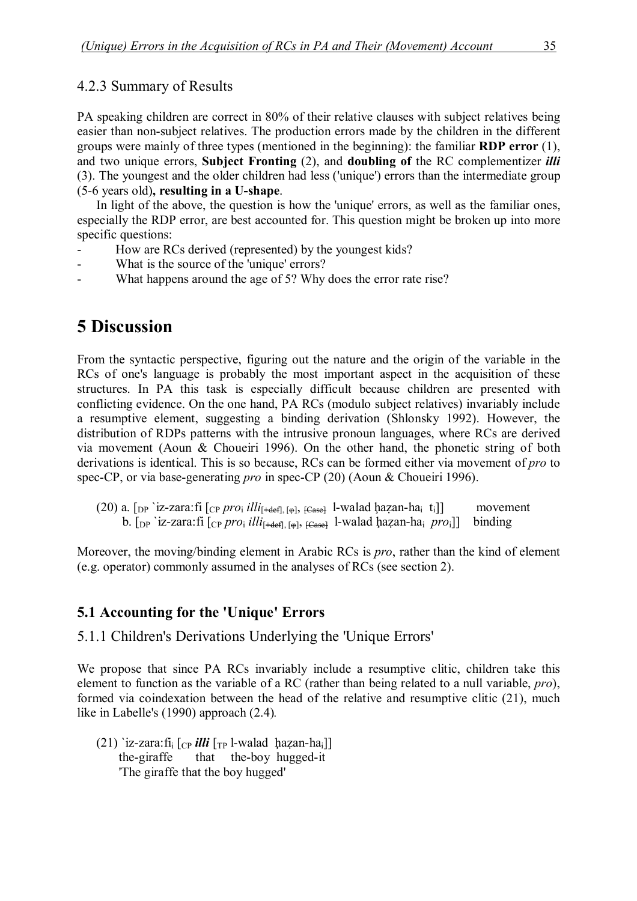#### 4.2.3 Summary of Results

PA speaking children are correct in 80% of their relative clauses with subject relatives being easier than non-subject relatives. The production errors made by the children in the different groups were mainly of three types (mentioned in the beginning): the familiar **RDP error** (1), and two unique errors, **Subject Fronting** (2), and **doubling of** the RC complementizer *illi* (3). The youngest and the older children had less ('unique') errors than the intermediate group (5-6 years old)**, resulting in a U-shape**.

In light of the above, the question is how the 'unique' errors, as well as the familiar ones, especially the RDP error, are best accounted for. This question might be broken up into more specific questions:

- How are RCs derived (represented) by the youngest kids?
- What is the source of the 'unique' errors?
- What happens around the age of 5? Why does the error rate rise?

# **5 Discussion**

From the syntactic perspective, figuring out the nature and the origin of the variable in the RCs of one's language is probably the most important aspect in the acquisition of these structures. In PA this task is especially difficult because children are presented with conflicting evidence. On the one hand, PA RCs (modulo subject relatives) invariably include a resumptive element, suggesting a binding derivation (Shlonsky 1992). However, the distribution of RDPs patterns with the intrusive pronoun languages, where RCs are derived via movement (Aoun & Choueiri 1996). On the other hand, the phonetic string of both derivations is identical. This is so because, RCs can be formed either via movement of *pro* to spec-CP, or via base-generating *pro* in spec-CP (20) (Aoun & Choueiri 1996).

(20) a.  $\lceil_{DP}$  `iz-zara:fi  $\lceil_{CP} pro_i$  *illi*<sub> $\lceil +$ def],  $\lceil_{CP}$ ,  $\lceil_{C^{eq}}$  l-walad ḥazan-ha<sub>i</sub> t<sub>i</sub>]] movement</sub> b.  $[p^i]$  iz-zara:fi  $[c^p]$  *pro*<sub>i</sub> *illi*<sub>[+def],  $[\omega]$ ,  $[c_{\text{asel}}]$  l-walad ḥazan-ha<sub>i</sub> *pro*<sub>i</sub>]] binding</sub>

Moreover, the moving/binding element in Arabic RCs is *pro*, rather than the kind of element (e.g. operator) commonly assumed in the analyses of RCs (see section 2).

### **5.1 Accounting for the 'Unique' Errors**

5.1.1 Children's Derivations Underlying the 'Unique Errors'

We propose that since PA RCs invariably include a resumptive clitic, children take this element to function as the variable of a RC (rather than being related to a null variable, *pro*), formed via coindexation between the head of the relative and resumptive clitic (21), much like in Labelle's (1990) approach (2.4)*.*

(21) `iz-zara:fi<sub>i</sub>  $[CP$  *illi*  $[T_P]$ -walad hazan-ha<sub>i</sub>]] the-giraffe that the-boy hugged-it 'The giraffe that the boy hugged'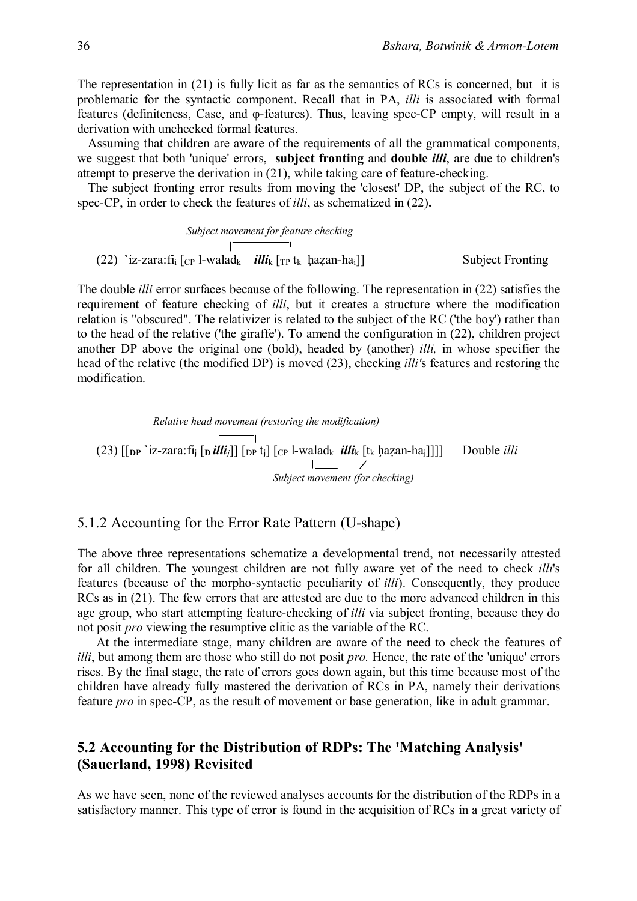The representation in (21) is fully licit as far as the semantics of RCs is concerned, but it is problematic for the syntactic component. Recall that in PA, *illi* is associated with formal features (definiteness, Case, and φ-features). Thus, leaving spec-CP empty, will result in a derivation with unchecked formal features.

Assuming that children are aware of the requirements of all the grammatical components, we suggest that both 'unique' errors, **subject fronting** and **double** *illi*, are due to children's attempt to preserve the derivation in (21), while taking care of feature-checking.

The subject fronting error results from moving the 'closest' DP, the subject of the RC, to spec-CP, in order to check the features of *illi*, as schematized in (22)**.**

*Subject movement for feature checking* (22) **`**iz-zara:fi<sup>i</sup> [CP l-walad<sup>k</sup> *illi*<sup>k</sup> [TP tk ḩaẓan-hai]] Subject Fronting

The double *illi* error surfaces because of the following. The representation in (22) satisfies the requirement of feature checking of *illi*, but it creates a structure where the modification relation is "obscured". The relativizer is related to the subject of the RC ('the boy') rather than to the head of the relative ('the giraffe'). To amend the configuration in (22), children project another DP above the original one (bold), headed by (another) *illi,* in whose specifier the head of the relative (the modified DP) is moved (23), checking *illi'*s features and restoring the modification.

 *Relative head movement (restoring the modification)*  (23)  $\left[\begin{array}{c|c} \hline \text{I} & \text{I} \\ \hline \text{I} & \text{I} \text{I} & \text{I} \text{I} \\ \hline \text{I} & \text{I} & \text{I} \text{I} \end{array} \right] \left[\begin{array}{c|c} \hline \text{I} & \text{I} \\ \hline \text{I} & \text{I} \text{I} \text{I} \\ \hline \text{I} & \text{I} \text{I} \text{I} \end{array} \right] \left[\begin{array}{c|c} \hline \text{I} & \text{I} \\ \hline \text{I} & \text{I} \text$  $\mathbb{R}$  *Subject movement (for checking)*

#### 5.1.2 Accounting for the Error Rate Pattern (U-shape)

The above three representations schematize a developmental trend, not necessarily attested for all children. The youngest children are not fully aware yet of the need to check *illi*'s features (because of the morpho-syntactic peculiarity of *illi*). Consequently, they produce RCs as in (21). The few errors that are attested are due to the more advanced children in this age group, who start attempting feature-checking of *illi* via subject fronting, because they do not posit *pro* viewing the resumptive clitic as the variable of the RC.

At the intermediate stage, many children are aware of the need to check the features of *illi*, but among them are those who still do not posit *pro*. Hence, the rate of the 'unique' errors rises. By the final stage, the rate of errors goes down again, but this time because most of the children have already fully mastered the derivation of RCs in PA, namely their derivations feature *pro* in spec-CP, as the result of movement or base generation, like in adult grammar.

### **5.2 Accounting for the Distribution of RDPs: The 'Matching Analysis' (Sauerland, 1998) Revisited**

As we have seen, none of the reviewed analyses accounts for the distribution of the RDPs in a satisfactory manner. This type of error is found in the acquisition of RCs in a great variety of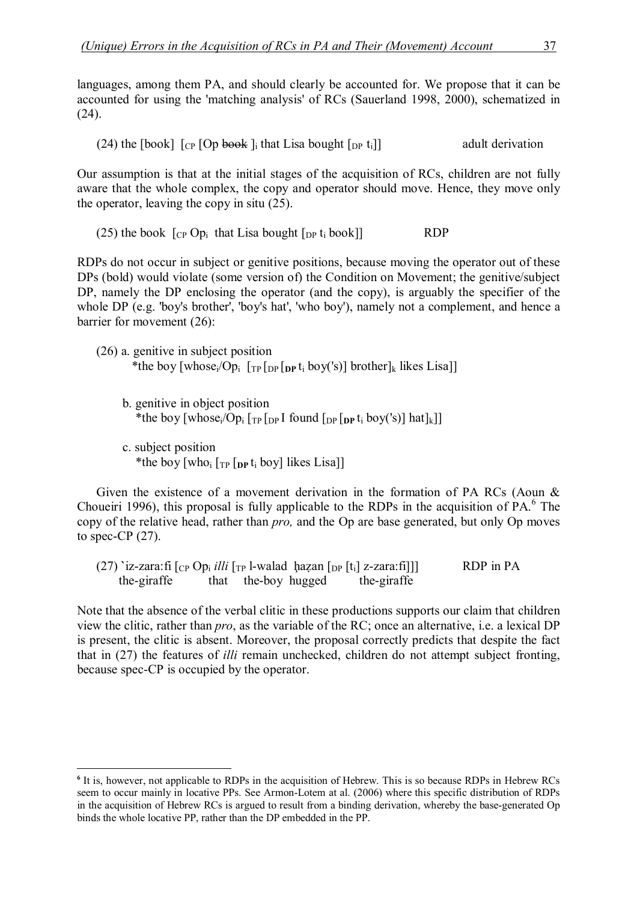languages, among them PA, and should clearly be accounted for. We propose that it can be accounted for using the 'matching analysis' of RCs (Sauerland 1998, 2000), schematized in (24).

(24) the [book]  $\lceil \text{Cp} \rceil$  [Op book] i that Lisa bought  $\lceil \text{Dp} \rceil$  till adult derivation

Our assumption is that at the initial stages of the acquisition of RCs, children are not fully aware that the whole complex, the copy and operator should move. Hence, they move only the operator, leaving the copy in situ (25).

(25) the book  $[\text{CP Op}_i]$  that Lisa bought  $[\text{DP I}_i]$  book] RDP

RDPs do not occur in subject or genitive positions, because moving the operator out of these DPs (bold) would violate (some version of) the Condition on Movement; the genitive/subject DP, namely the DP enclosing the operator (and the copy), is arguably the specifier of the whole DP (e.g. 'boy's brother', 'boy's hat', 'who boy'), namely not a complement, and hence a barrier for movement (26):

- (26) a. genitive in subject position \*the boy [whose<sub>i</sub>/Op<sub>i</sub> [<sub>TP</sub> [<sub>DP</sub> [<sub>DP</sub> t<sub>i</sub> boy('s)] brother]<sub>k</sub> likes Lisa]]
	- b. genitive in object position \*the boy  $\lceil \text{whose}_i / \text{Op}_i \rceil_{\text{TP}} \lceil_{\text{DP}} I$  found  $\lceil \text{Op} \rceil_{\text{DP}} t_i$  boy('s)] hat  $\lceil k \rceil$
	- c. subject position \*the boy  $[who_i]$   $[r_P]$   $[p_t]$  boy] likes Lisa

Given the existence of a movement derivation in the formation of PA RCs (Aoun & Choueiri 1996), this proposal is fully applicable to the RDPs in the acquisition of PA.<sup>6</sup> The copy of the relative head, rather than *pro,* and the Op are base generated, but only Op moves to spec-CP  $(27)$ .

(27) **`iz-zara**:fi  $\begin{bmatrix}$   $\begin{bmatrix} C_P & Op_i \textit{ illi} \end{bmatrix}$   $\begin{bmatrix} T_P & I-$  walad  $\end{bmatrix}$   $\begin{bmatrix}$   $\begin{bmatrix} D_P & Ii \end{bmatrix}$   $\begin{bmatrix} Z-$  zara:fi]]] RDP in PA the-giraffe that the-boy hugged the-giraffe that the-boy hugged the-giraffe

Note that the absence of the verbal clitic in these productions supports our claim that children view the clitic, rather than *pro*, as the variable of the RC; once an alternative, i.e. a lexical DP is present, the clitic is absent. Moreover, the proposal correctly predicts that despite the fact that in (27) the features of *illi* remain unchecked, children do not attempt subject fronting, because spec-CP is occupied by the operator.

<sup>&</sup>lt;sup>6</sup> It is, however, not applicable to RDPs in the acquisition of Hebrew. This is so because RDPs in Hebrew RCs seem to occur mainly in locative PPs. See Armon-Lotem at al. (2006) where this specific distribution of RDPs in the acquisition of Hebrew RCs is argued to result from a binding derivation, whereby the base-generated Op binds the whole locative PP, rather than the DP embedded in the PP.